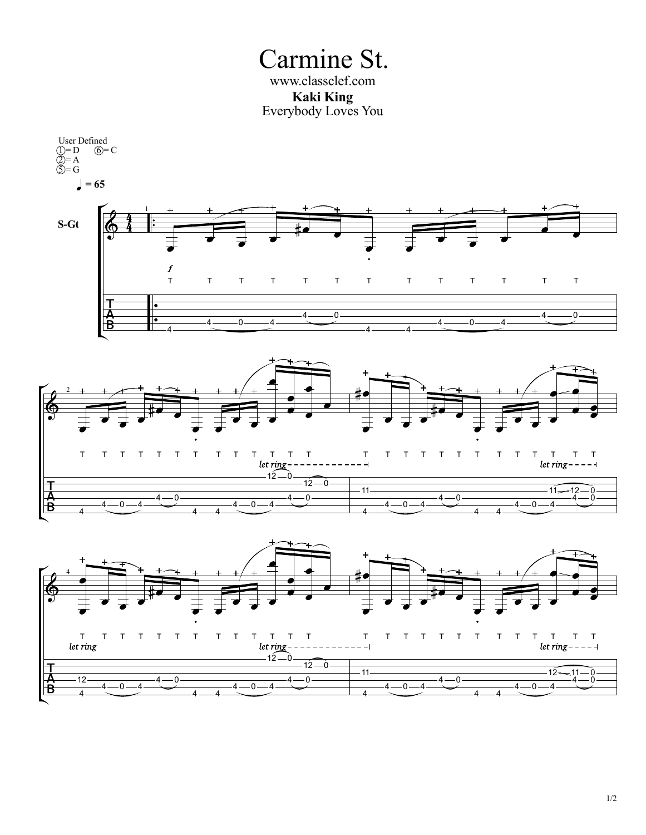Carmine St. **Kaki King** Everybody Loves You